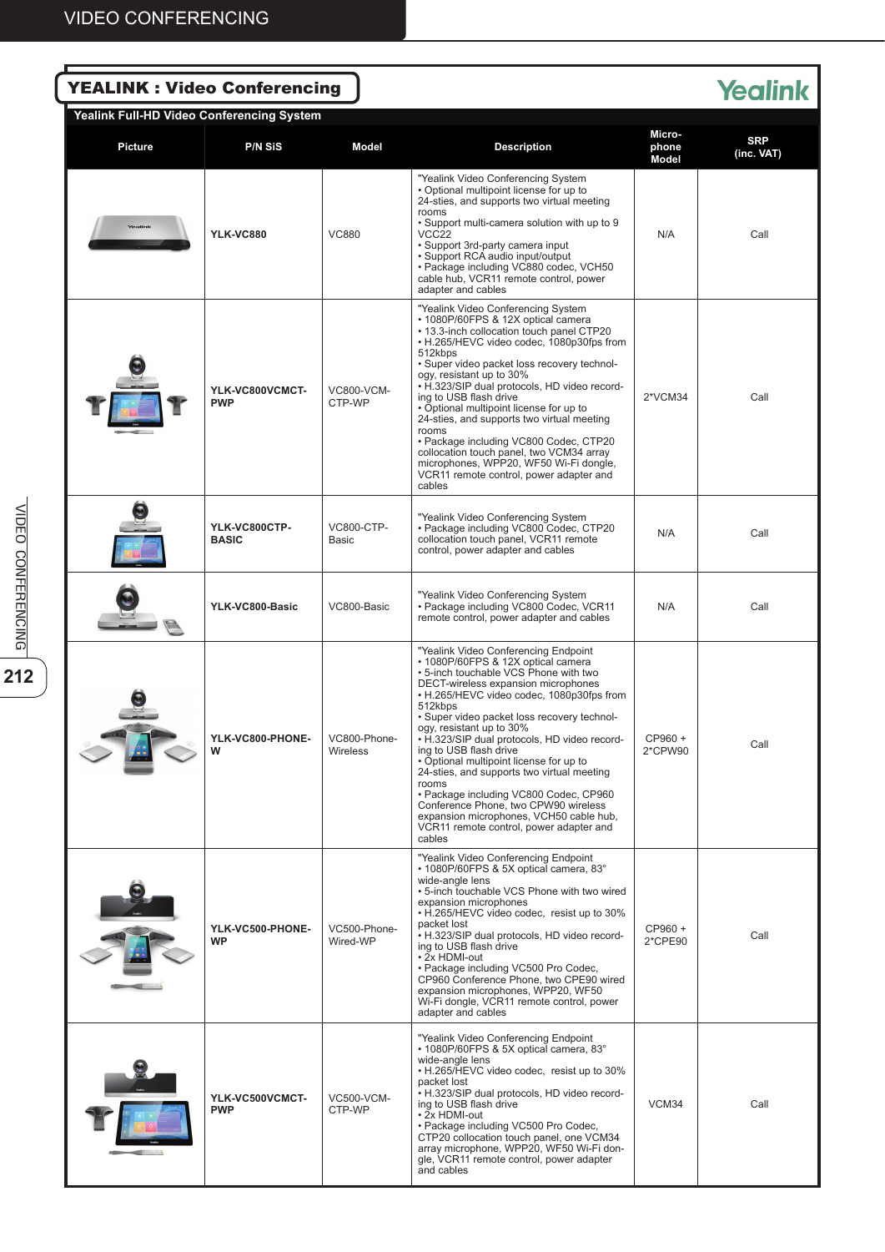| <b>YEALINK : Video Conferencing</b><br><b>Yealink</b><br>Yealink Full-HD Video Conferencing System |                               |                                 |                                                                                                                                                                                                                                                                                                                                                                                                                                                                                                                                                                                                                                                             |                          |                          |  |  |  |  |
|----------------------------------------------------------------------------------------------------|-------------------------------|---------------------------------|-------------------------------------------------------------------------------------------------------------------------------------------------------------------------------------------------------------------------------------------------------------------------------------------------------------------------------------------------------------------------------------------------------------------------------------------------------------------------------------------------------------------------------------------------------------------------------------------------------------------------------------------------------------|--------------------------|--------------------------|--|--|--|--|
| <b>Picture</b>                                                                                     | <b>P/N SiS</b>                | Model                           | <b>Description</b>                                                                                                                                                                                                                                                                                                                                                                                                                                                                                                                                                                                                                                          | Micro-<br>phone<br>Model | <b>SRP</b><br>(inc. VAT) |  |  |  |  |
| <b>YLK-VC880</b>                                                                                   |                               | <b>VC880</b>                    | "Yealink Video Conferencing System<br>• Optional multipoint license for up to<br>24-sties, and supports two virtual meeting<br>rooms<br>. Support multi-camera solution with up to 9<br>VCC <sub>22</sub><br>• Support 3rd-party camera input<br>· Support RCA audio input/output<br>· Package including VC880 codec, VCH50<br>cable hub, VCR11 remote control, power<br>adapter and cables                                                                                                                                                                                                                                                                 | N/A                      | Call                     |  |  |  |  |
|                                                                                                    | YLK-VC800VCMCT-<br><b>PWP</b> | <b>VC800-VCM-</b><br>CTP-WP     | "Yealink Video Conferencing System<br>• 1080P/60FPS & 12X optical camera<br>. 13.3-inch collocation touch panel CTP20<br>• H.265/HEVC video codec, 1080p30fps from<br>512kbps<br>• Super video packet loss recovery technol-<br>ogy, resistant up to 30%<br>• H.323/SIP dual protocols, HD video record-<br>ing to USB flash drive<br>• Optional multipoint license for up to<br>24-sties, and supports two virtual meeting<br>rooms<br>• Package including VC800 Codec, CTP20<br>collocation touch panel, two VCM34 array<br>microphones, WPP20, WF50 Wi-Fi dongle,<br>VCR11 remote control, power adapter and<br>cables                                   | 2*VCM34                  | Call                     |  |  |  |  |
|                                                                                                    | YLK-VC800CTP-<br><b>BASIC</b> | <b>VC800-CTP-</b><br>Basic      | "Yealink Video Conferencing System<br>• Package including VC800 Codec, CTP20<br>collocation touch panel, VCR11 remote<br>control, power adapter and cables                                                                                                                                                                                                                                                                                                                                                                                                                                                                                                  | N/A                      | Call                     |  |  |  |  |
|                                                                                                    | YLK-VC800-Basic               | VC800-Basic                     | "Yealink Video Conferencing System<br>• Package including VC800 Codec, VCR11<br>remote control, power adapter and cables                                                                                                                                                                                                                                                                                                                                                                                                                                                                                                                                    | N/A                      | Call                     |  |  |  |  |
|                                                                                                    | YLK-VC800-PHONE-<br>w         | VC800-Phone-<br><b>Wireless</b> | "Yealink Video Conferencing Endpoint<br>• 1080P/60FPS & 12X optical camera<br>. 5-inch touchable VCS Phone with two<br>DECT-wireless expansion microphones<br>• H.265/HEVC video codec, 1080p30fps from<br>512kbps<br>• Super video packet loss recovery technol-<br>ogy, resistant up to 30%<br>• H.323/SIP dual protocols, HD video record-<br>ing to USB flash drive<br>• Optional multipoint license for up to<br>24-sties, and supports two virtual meeting<br>rooms<br>• Package including VC800 Codec, CP960<br>Conference Phone, two CPW90 wireless<br>expansion microphones, VCH50 cable hub,<br>VCR11 remote control, power adapter and<br>cables | CP960 +<br>2*CPW90       | Call                     |  |  |  |  |
|                                                                                                    | YLK-VC500-PHONE-<br><b>WP</b> | VC500-Phone-<br>Wired-WP        | "Yealink Video Conferencing Endpoint<br>• 1080P/60FPS & 5X optical camera, 83°<br>wide-angle lens<br>• 5-inch touchable VCS Phone with two wired<br>expansion microphones<br>• H.265/HEVC video codec, resist up to 30%<br>packet lost<br>• H.323/SIP dual protocols, HD video record-<br>ing to USB flash drive<br>• 2x HDMI-out<br>• Package including VC500 Pro Codec,<br>CP960 Conference Phone, two CPE90 wired<br>expansion microphones, WPP20, WF50<br>Wi-Fi dongle, VCR11 remote control, power<br>adapter and cables                                                                                                                               | CP960 +<br>2*CPE90       | Call                     |  |  |  |  |
|                                                                                                    | YLK-VC500VCMCT-<br><b>PWP</b> | <b>VC500-VCM-</b><br>CTP-WP     | "Yealink Video Conferencing Endpoint<br>• 1080P/60FPS & 5X optical camera, 83°<br>wide-angle lens<br>• H.265/HEVC video codec, resist up to 30%<br>packet lost<br>• H.323/SIP dual protocols, HD video record-<br>ing to USB flash drive<br>• 2x HDMI-out<br>• Package including VC500 Pro Codec,<br>CTP20 collocation touch panel, one VCM34<br>array microphone, WPP20, WF50 Wi-Fi don-<br>gle, VCR11 remote control, power adapter<br>and cables                                                                                                                                                                                                         | VCM34                    | Call                     |  |  |  |  |